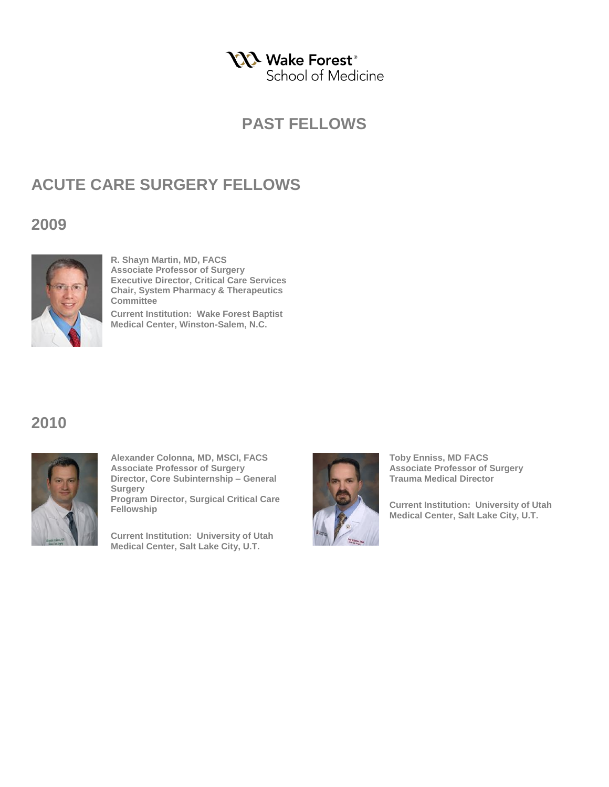**NA** Wake Forest<sup>®</sup> School of Medicine

#### **PAST FELLOWS**

# **ACUTE CARE SURGERY FELLOWS**

#### **2009**



**R. Shayn Martin, MD, FACS Associate Professor of Surgery Executive Director, Critical Care Services Chair, System Pharmacy & Therapeutics Committee**

**Current Institution: Wake Forest Baptist Medical Center, Winston-Salem, N.C.** 

#### **2010**



**Alexander Colonna, MD, MSCI, FACS Associate Professor of Surgery Director, Core Subinternship – General Surgery Program Director, Surgical Critical Care Fellowship**

**Current Institution: University of Utah Medical Center, Salt Lake City, U.T.** 



**Toby Enniss, MD FACS Associate Professor of Surgery Trauma Medical Director**

**Current Institution: University of Utah Medical Center, Salt Lake City, U.T.**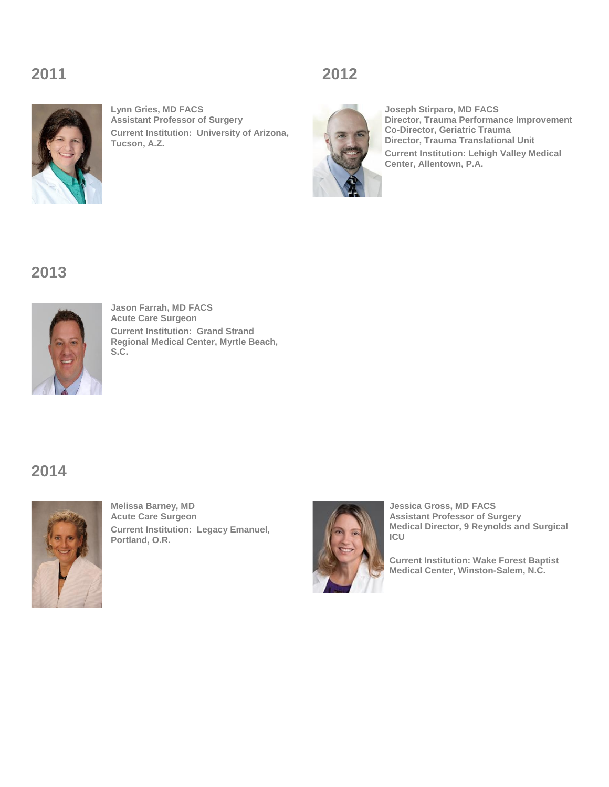# **2011 2012**



**Lynn Gries, MD FACS Assistant Professor of Surgery Current Institution: University of Arizona, Tucson, A.Z.** 





**Joseph Stirparo, MD FACS Director, Trauma Performance Improvement Co-Director, Geriatric Trauma Director, Trauma Translational Unit Current Institution: Lehigh Valley Medical Center, Allentown, P.A.** 

# **2013**



**Jason Farrah, MD FACS Acute Care Surgeon Current Institution: Grand Strand Regional Medical Center, Myrtle Beach, S.C.** 

# **2014**



**Melissa Barney, MD Acute Care Surgeon Current Institution: Legacy Emanuel, Portland, O.R.** 



**Jessica Gross, MD FACS Assistant Professor of Surgery Medical Director, 9 Reynolds and Surgical ICU**

**Current Institution: Wake Forest Baptist Medical Center, Winston-Salem, N.C.**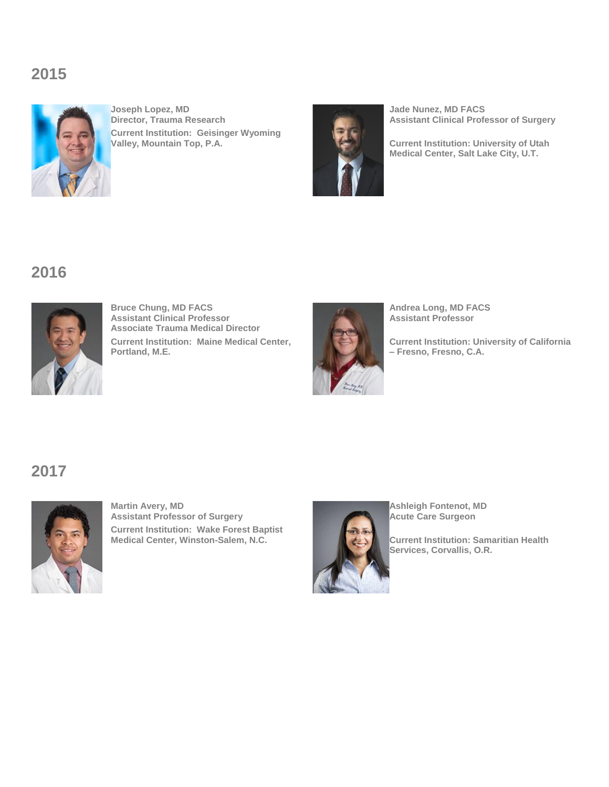# **2015**



**Joseph Lopez, MD Director, Trauma Research Current Institution: Geisinger Wyoming Valley, Mountain Top, P.A.** 



**Jade Nunez, MD FACS Assistant Clinical Professor of Surgery**

**Current Institution: University of Utah Medical Center, Salt Lake City, U.T.** 

# **2016**



**Bruce Chung, MD FACS Assistant Clinical Professor Associate Trauma Medical Director Current Institution: Maine Medical Center, Portland, M.E.** 



**Andrea Long, MD FACS Assistant Professor**

**Current Institution: University of California – Fresno, Fresno, C.A.** 

#### **2017**



**Martin Avery, MD Assistant Professor of Surgery Current Institution: Wake Forest Baptist Medical Center, Winston-Salem, N.C.** 



**Ashleigh Fontenot, MD Acute Care Surgeon**

**Current Institution: Samaritian Health Services, Corvallis, O.R.**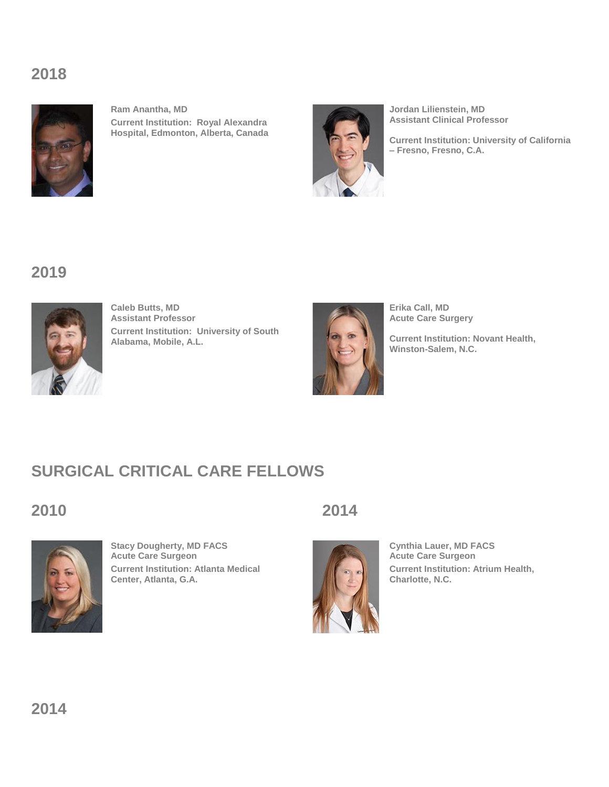# **2018**



**Ram Anantha, MD Current Institution: Royal Alexandra Hospital, Edmonton, Alberta, Canada**



**Jordan Lilienstein, MD Assistant Clinical Professor**

**Current Institution: University of California – Fresno, Fresno, C.A.** 

# **2019**



**Caleb Butts, MD Assistant Professor Current Institution: University of South Alabama, Mobile, A.L.**



**Erika Call, MD Acute Care Surgery** 

**Current Institution: Novant Health, Winston-Salem, N.C.** 

# **SURGICAL CRITICAL CARE FELLOWS**



**Stacy Dougherty, MD FACS Acute Care Surgeon Current Institution: Atlanta Medical Center, Atlanta, G.A.** 





**Cynthia Lauer, MD FACS Acute Care Surgeon Current Institution: Atrium Health, Charlotte, N.C.**

**2014**